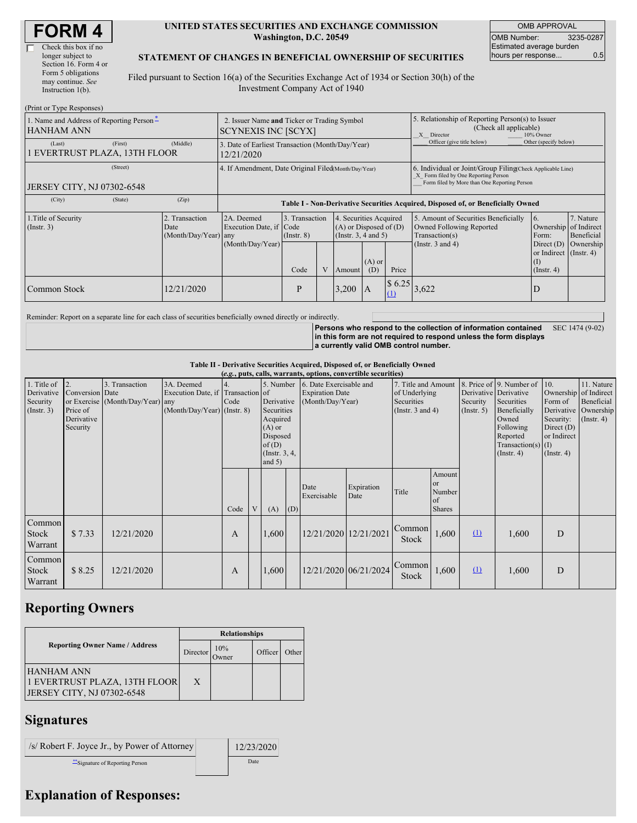| Check this box if no  |
|-----------------------|
| longer subject to     |
| Section 16. Form 4 or |
| Form 5 obligations    |
| may continue. See     |
| Instruction $1(b)$ .  |
|                       |

#### **UNITED STATES SECURITIES AND EXCHANGE COMMISSION Washington, D.C. 20549**

OMB APPROVAL OMB Number: 3235-0287 Estimated average burden hours per response... 0.5

### **STATEMENT OF CHANGES IN BENEFICIAL OWNERSHIP OF SECURITIES**

Filed pursuant to Section 16(a) of the Securities Exchange Act of 1934 or Section 30(h) of the Investment Company Act of 1940

| (Print or Type Responses)                                     |                                                                           |                                                                                  |                                   |              |                                                                                  |                 |                                                                                                       |                                                                                                                                                    |                                                              |                         |  |
|---------------------------------------------------------------|---------------------------------------------------------------------------|----------------------------------------------------------------------------------|-----------------------------------|--------------|----------------------------------------------------------------------------------|-----------------|-------------------------------------------------------------------------------------------------------|----------------------------------------------------------------------------------------------------------------------------------------------------|--------------------------------------------------------------|-------------------------|--|
| 1. Name and Address of Reporting Person*<br><b>HANHAM ANN</b> | 2. Issuer Name and Ticker or Trading Symbol<br><b>SCYNEXIS INC [SCYX]</b> |                                                                                  |                                   |              |                                                                                  |                 | 5. Relationship of Reporting Person(s) to Issuer<br>(Check all applicable)<br>X Director<br>10% Owner |                                                                                                                                                    |                                                              |                         |  |
| (First)<br>(Last)<br>EVERTRUST PLAZA, 13TH FLOOR              | (Middle)                                                                  | 3. Date of Earliest Transaction (Month/Day/Year)<br>12/21/2020                   |                                   |              |                                                                                  |                 |                                                                                                       | Officer (give title below)                                                                                                                         | Other (specify below)                                        |                         |  |
| (Street)<br>JERSEY CITY, NJ 07302-6548                        |                                                                           | 4. If Amendment, Date Original Filed(Month/Day/Year)                             |                                   |              |                                                                                  |                 |                                                                                                       | 6. Individual or Joint/Group Filing(Check Applicable Line)<br>X Form filed by One Reporting Person<br>Form filed by More than One Reporting Person |                                                              |                         |  |
| (City)<br>(State)                                             | (Zip)                                                                     | Table I - Non-Derivative Securities Acquired, Disposed of, or Beneficially Owned |                                   |              |                                                                                  |                 |                                                                                                       |                                                                                                                                                    |                                                              |                         |  |
| 1. Title of Security<br>$($ Instr. 3 $)$                      | 2. Transaction<br>Date<br>(Month/Day/Year) any                            | 2A. Deemed<br>Execution Date, if Code                                            | 3. Transaction<br>$($ Instr. $8)$ |              | 4. Securities Acquired<br>$(A)$ or Disposed of $(D)$<br>(Instr. $3, 4$ and $5$ ) |                 |                                                                                                       | 5. Amount of Securities Beneficially<br>Owned Following Reported<br>Transaction(s)                                                                 | <b>6.</b><br>Ownership of Indirect<br>Form:                  | 7. Nature<br>Beneficial |  |
|                                                               |                                                                           | (Month/Day/Year)                                                                 | Code                              | $\mathbf{V}$ | Amount                                                                           | $(A)$ or<br>(D) | Price                                                                                                 | (Instr. $3$ and $4$ )                                                                                                                              | Direct $(D)$<br>or Indirect (Instr. 4)<br>(I)<br>(Insert. 4) | Ownership               |  |
| Common Stock                                                  | 12/21/2020                                                                |                                                                                  | P                                 |              | 3,200                                                                            | IA              | \$6.25<br>(1)                                                                                         | 3,622                                                                                                                                              | D                                                            |                         |  |

Reminder: Report on a separate line for each class of securities beneficially owned directly or indirectly.

**Persons who respond to the collection of information contained in this form are not required to respond unless the form displays a currently valid OMB control number.** SEC 1474 (9-02)

**Table II - Derivative Securities Acquired, Disposed of, or Beneficially Owned**

| (e.g., puts, calls, warrants, options, convertible securities) |                                                                          |                                                    |                                                                                |                          |   |                                                                                                                   |     |                                                                       |                       |                                                                             |                                                          |                                                  |                                                                                                                                      |                                                                                                         |                                                                      |
|----------------------------------------------------------------|--------------------------------------------------------------------------|----------------------------------------------------|--------------------------------------------------------------------------------|--------------------------|---|-------------------------------------------------------------------------------------------------------------------|-----|-----------------------------------------------------------------------|-----------------------|-----------------------------------------------------------------------------|----------------------------------------------------------|--------------------------------------------------|--------------------------------------------------------------------------------------------------------------------------------------|---------------------------------------------------------------------------------------------------------|----------------------------------------------------------------------|
| 1. Title of<br>Derivative<br>Security<br>$($ Instr. 3 $)$      | $\overline{12}$<br>Conversion Date<br>Price of<br>Derivative<br>Security | 3. Transaction<br>or Exercise (Month/Day/Year) any | 3A. Deemed<br>Execution Date, if Transaction of<br>(Month/Day/Year) (Instr. 8) | $\overline{4}$ .<br>Code |   | 5. Number<br>Derivative<br>Securities<br>Acquired<br>$(A)$ or<br>Disposed<br>of(D)<br>(Instr. $3, 4,$<br>and $5)$ |     | 6. Date Exercisable and<br><b>Expiration Date</b><br>(Month/Day/Year) |                       | 7. Title and Amount<br>of Underlying<br>Securities<br>(Instr. $3$ and $4$ ) |                                                          | Derivative Derivative<br>Security<br>(Insert. 5) | 8. Price of 9. Number of<br>Securities<br>Beneficially<br>Owned<br>Following<br>Reported<br>Transaction(s) $(I)$<br>$($ Instr. 4 $)$ | 10.<br>Ownership of Indirect<br>Form of<br>Security:<br>Direct $(D)$<br>or Indirect<br>$($ Instr. 4 $)$ | 11. Nature<br>Beneficial<br>Derivative Ownership<br>$($ Instr. 4 $)$ |
|                                                                |                                                                          |                                                    |                                                                                | Code                     | V | (A)                                                                                                               | (D) | Date<br>Exercisable                                                   | Expiration<br>Date    | Title                                                                       | Amount<br><sub>or</sub><br>Number<br>of<br><b>Shares</b> |                                                  |                                                                                                                                      |                                                                                                         |                                                                      |
| Common<br>Stock<br>Warrant                                     | \$7.33                                                                   | 12/21/2020                                         |                                                                                | A                        |   | 1,600                                                                                                             |     | 12/21/2020 12/21/2021                                                 |                       | Common<br>Stock                                                             | 1,600                                                    | $\Omega$                                         | 1,600                                                                                                                                | D                                                                                                       |                                                                      |
| Common<br>Stock<br>Warrant                                     | \$8.25                                                                   | 12/21/2020                                         |                                                                                | A                        |   | 1,600                                                                                                             |     |                                                                       | 12/21/2020 06/21/2024 | Common<br><b>Stock</b>                                                      | 1,600                                                    | $\Omega$                                         | 1,600                                                                                                                                | D                                                                                                       |                                                                      |

# **Reporting Owners**

|                                                                                  | <b>Relationships</b> |               |                      |       |  |  |  |  |
|----------------------------------------------------------------------------------|----------------------|---------------|----------------------|-------|--|--|--|--|
| <b>Reporting Owner Name / Address</b>                                            | Director             | 10%<br>.)wner | Officer <sup>'</sup> | Other |  |  |  |  |
| HANHAM ANN<br>1 EVERTRUST PLAZA, 13TH FLOOR<br><b>JERSEY CITY, NJ 07302-6548</b> | X                    |               |                      |       |  |  |  |  |

## **Signatures**

| /s/ Robert F. Joyce Jr., by Power of Attorney | 12/23/2020 |
|-----------------------------------------------|------------|
| Signature of Reporting Person                 | Date       |

# **Explanation of Responses:**